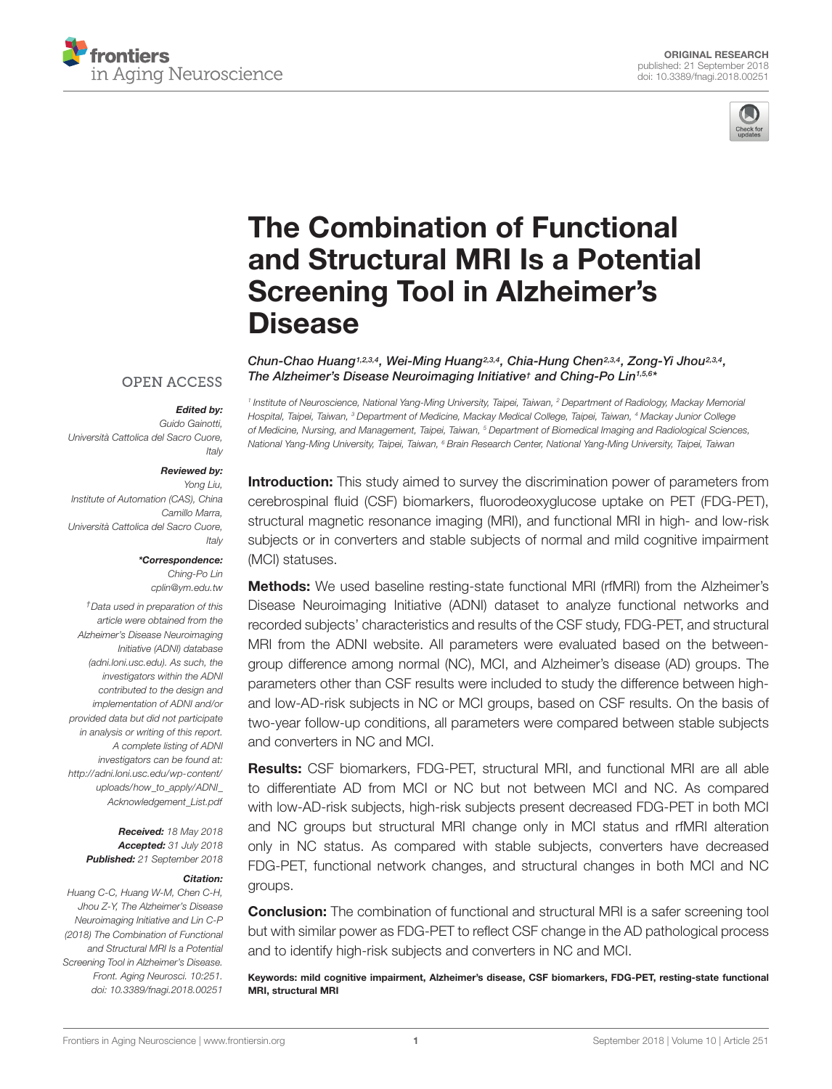



# The Combination of Functional [and Structural MRI Is a Potential](https://www.frontiersin.org/articles/10.3389/fnagi.2018.00251/full) Screening Tool in Alzheimer's **Disease**

[Chun-Chao Huang](http://loop.frontiersin.org/people/565068/overview)<sup>1,2,3,4</sup>, Wei-Ming Huang<sup>2,3,4</sup>, Chia-Hung Chen<sup>2,3,4</sup>, Zong-Yi Jhou<sup>2,3,4</sup>, The Alzheimer's Disease Neuroimaging Initiative<sup>†</sup> and Ching-Po Lin<sup>1,5,6</sup>\*

#### **OPEN ACCESS**

#### Edited by:

Guido Gainotti, Università Cattolica del Sacro Cuore, Italy

#### Reviewed by:

Yong Liu, Institute of Automation (CAS), China Camillo Marra, Università Cattolica del Sacro Cuore, Italy

#### \*Correspondence:

Ching-Po Lin [cplin@ym.edu.tw](mailto:cplin@ym.edu.tw)

†Data used in preparation of this article were obtained from the Alzheimer's Disease Neuroimaging Initiative (ADNI) database (adni.loni.usc.edu). As such, the investigators within the ADNI contributed to the design and implementation of ADNI and/or provided data but did not participate in analysis or writing of this report. A complete listing of ADNI investigators can be found at: [http://adni.loni.usc.edu/wp-content/](http://adni.loni.usc.edu/wp-content/uploads/how_to_apply/ADNI_Acknowledgement_List.pdf) [uploads/how\\_to\\_apply/ADNI\\_](http://adni.loni.usc.edu/wp-content/uploads/how_to_apply/ADNI_Acknowledgement_List.pdf) [Acknowledgement\\_List.pdf](http://adni.loni.usc.edu/wp-content/uploads/how_to_apply/ADNI_Acknowledgement_List.pdf)

> Received: 18 May 2018 Accepted: 31 July 2018 Published: 21 September 2018

#### Citation:

Huang C-C, Huang W-M, Chen C-H, Jhou Z-Y, The Alzheimer's Disease Neuroimaging Initiative and Lin C-P (2018) The Combination of Functional and Structural MRI Is a Potential Screening Tool in Alzheimer's Disease. Front. Aging Neurosci. 10:251. doi: [10.3389/fnagi.2018.00251](https://doi.org/10.3389/fnagi.2018.00251)

<sup>1</sup> Institute of Neuroscience, National Yang-Ming University, Taipei, Taiwan, <sup>2</sup> Department of Radiology, Mackay Memorial Hospital, Taipei, Taiwan, <sup>3</sup> Department of Medicine, Mackay Medical College, Taipei, Taiwan, <sup>4</sup> Mackay Junior College of Medicine, Nursing, and Management, Taipei, Taiwan, <sup>5</sup> Department of Biomedical Imaging and Radiological Sciences, National Yang-Ming University, Taipei, Taiwan, <sup>6</sup> Brain Research Center, National Yang-Ming University, Taipei, Taiwan

**Introduction:** This study aimed to survey the discrimination power of parameters from cerebrospinal fluid (CSF) biomarkers, fluorodeoxyglucose uptake on PET (FDG-PET), structural magnetic resonance imaging (MRI), and functional MRI in high- and low-risk subjects or in converters and stable subjects of normal and mild cognitive impairment (MCI) statuses.

**Methods:** We used baseline resting-state functional MRI (rfMRI) from the Alzheimer's Disease Neuroimaging Initiative (ADNI) dataset to analyze functional networks and recorded subjects' characteristics and results of the CSF study, FDG-PET, and structural MRI from the ADNI website. All parameters were evaluated based on the betweengroup difference among normal (NC), MCI, and Alzheimer's disease (AD) groups. The parameters other than CSF results were included to study the difference between highand low-AD-risk subjects in NC or MCI groups, based on CSF results. On the basis of two-year follow-up conditions, all parameters were compared between stable subjects and converters in NC and MCI.

Results: CSF biomarkers, FDG-PET, structural MRI, and functional MRI are all able to differentiate AD from MCI or NC but not between MCI and NC. As compared with low-AD-risk subjects, high-risk subjects present decreased FDG-PET in both MCI and NC groups but structural MRI change only in MCI status and rfMRI alteration only in NC status. As compared with stable subjects, converters have decreased FDG-PET, functional network changes, and structural changes in both MCI and NC groups.

**Conclusion:** The combination of functional and structural MRI is a safer screening tool but with similar power as FDG-PET to reflect CSF change in the AD pathological process and to identify high-risk subjects and converters in NC and MCI.

Keywords: mild cognitive impairment, Alzheimer's disease, CSF biomarkers, FDG-PET, resting-state functional MRI, structural MRI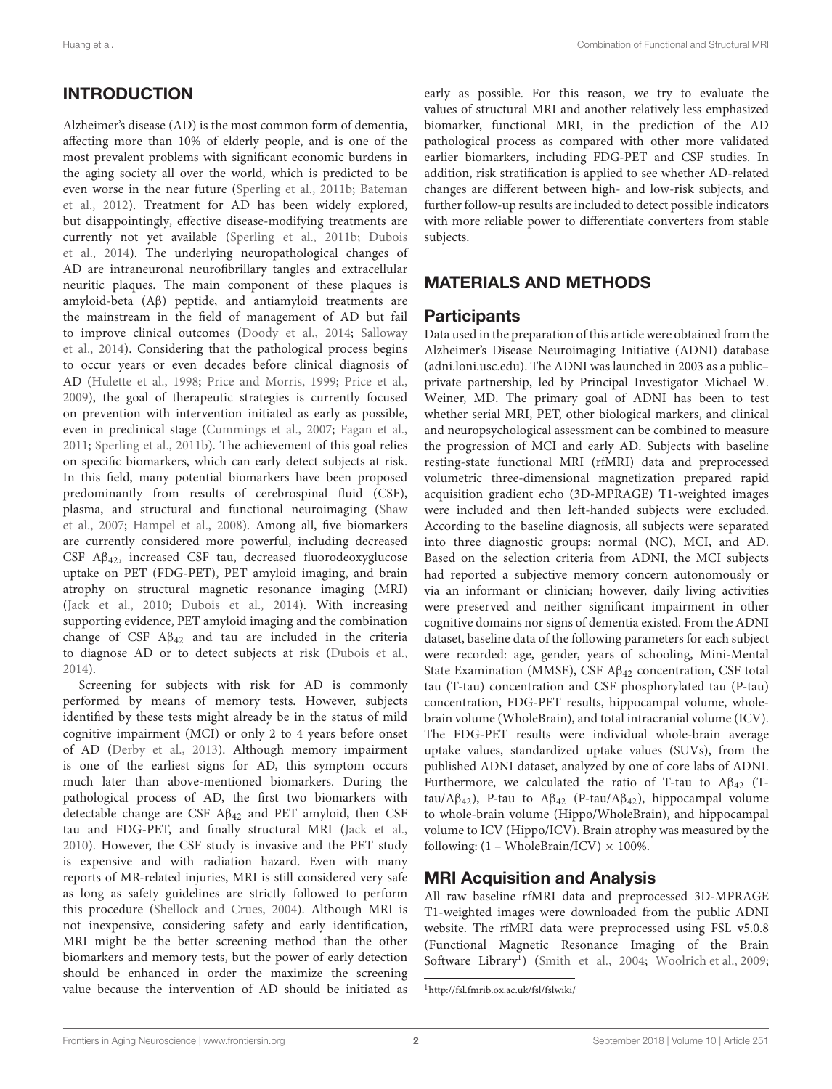## INTRODUCTION

Alzheimer's disease (AD) is the most common form of dementia, affecting more than 10% of elderly people, and is one of the most prevalent problems with significant economic burdens in the aging society all over the world, which is predicted to be even worse in the near future [\(Sperling et al.,](#page-8-0) [2011b;](#page-8-0) [Bateman](#page-7-0) [et al.,](#page-7-0) [2012\)](#page-7-0). Treatment for AD has been widely explored, but disappointingly, effective disease-modifying treatments are currently not yet available [\(Sperling et al.,](#page-8-0) [2011b;](#page-8-0) [Dubois](#page-8-1) [et al.,](#page-8-1) [2014\)](#page-8-1). The underlying neuropathological changes of AD are intraneuronal neurofibrillary tangles and extracellular neuritic plaques. The main component of these plaques is amyloid-beta (Aβ) peptide, and antiamyloid treatments are the mainstream in the field of management of AD but fail to improve clinical outcomes [\(Doody et al.,](#page-7-1) [2014;](#page-7-1) [Salloway](#page-8-2) [et al.,](#page-8-2) [2014\)](#page-8-2). Considering that the pathological process begins to occur years or even decades before clinical diagnosis of AD [\(Hulette et al.,](#page-8-3) [1998;](#page-8-3) [Price and Morris,](#page-8-4) [1999;](#page-8-4) [Price et al.,](#page-8-5) [2009\)](#page-8-5), the goal of therapeutic strategies is currently focused on prevention with intervention initiated as early as possible, even in preclinical stage [\(Cummings et al.,](#page-7-2) [2007;](#page-7-2) [Fagan et al.,](#page-8-6) [2011;](#page-8-6) [Sperling et al.,](#page-8-0) [2011b\)](#page-8-0). The achievement of this goal relies on specific biomarkers, which can early detect subjects at risk. In this field, many potential biomarkers have been proposed predominantly from results of cerebrospinal fluid (CSF), plasma, and structural and functional neuroimaging [\(Shaw](#page-8-7) [et al.,](#page-8-7) [2007;](#page-8-7) [Hampel et al.,](#page-8-8) [2008\)](#page-8-8). Among all, five biomarkers are currently considered more powerful, including decreased CSF Aβ42, increased CSF tau, decreased fluorodeoxyglucose uptake on PET (FDG-PET), PET amyloid imaging, and brain atrophy on structural magnetic resonance imaging (MRI) [\(Jack et al.,](#page-8-9) [2010;](#page-8-9) [Dubois et al.,](#page-8-1) [2014\)](#page-8-1). With increasing supporting evidence, PET amyloid imaging and the combination change of CSF  $\mathbf{A}\beta_{42}$  and tau are included in the criteria to diagnose AD or to detect subjects at risk [\(Dubois et al.,](#page-8-1) [2014\)](#page-8-1).

Screening for subjects with risk for AD is commonly performed by means of memory tests. However, subjects identified by these tests might already be in the status of mild cognitive impairment (MCI) or only 2 to 4 years before onset of AD [\(Derby et al.,](#page-7-3) [2013\)](#page-7-3). Although memory impairment is one of the earliest signs for AD, this symptom occurs much later than above-mentioned biomarkers. During the pathological process of AD, the first two biomarkers with detectable change are CSF  $A\beta_{42}$  and PET amyloid, then CSF tau and FDG-PET, and finally structural MRI [\(Jack et al.,](#page-8-9) [2010\)](#page-8-9). However, the CSF study is invasive and the PET study is expensive and with radiation hazard. Even with many reports of MR-related injuries, MRI is still considered very safe as long as safety guidelines are strictly followed to perform this procedure [\(Shellock and Crues,](#page-8-10) [2004\)](#page-8-10). Although MRI is not inexpensive, considering safety and early identification, MRI might be the better screening method than the other biomarkers and memory tests, but the power of early detection should be enhanced in order the maximize the screening value because the intervention of AD should be initiated as early as possible. For this reason, we try to evaluate the values of structural MRI and another relatively less emphasized biomarker, functional MRI, in the prediction of the AD pathological process as compared with other more validated earlier biomarkers, including FDG-PET and CSF studies. In addition, risk stratification is applied to see whether AD-related changes are different between high- and low-risk subjects, and further follow-up results are included to detect possible indicators with more reliable power to differentiate converters from stable subjects.

### MATERIALS AND METHODS

#### **Participants**

Data used in the preparation of this article were obtained from the Alzheimer's Disease Neuroimaging Initiative (ADNI) database (adni.loni.usc.edu). The ADNI was launched in 2003 as a public– private partnership, led by Principal Investigator Michael W. Weiner, MD. The primary goal of ADNI has been to test whether serial MRI, PET, other biological markers, and clinical and neuropsychological assessment can be combined to measure the progression of MCI and early AD. Subjects with baseline resting-state functional MRI (rfMRI) data and preprocessed volumetric three-dimensional magnetization prepared rapid acquisition gradient echo (3D-MPRAGE) T1-weighted images were included and then left-handed subjects were excluded. According to the baseline diagnosis, all subjects were separated into three diagnostic groups: normal (NC), MCI, and AD. Based on the selection criteria from ADNI, the MCI subjects had reported a subjective memory concern autonomously or via an informant or clinician; however, daily living activities were preserved and neither significant impairment in other cognitive domains nor signs of dementia existed. From the ADNI dataset, baseline data of the following parameters for each subject were recorded: age, gender, years of schooling, Mini-Mental State Examination (MMSE), CSF  $A\beta_{42}$  concentration, CSF total tau (T-tau) concentration and CSF phosphorylated tau (P-tau) concentration, FDG-PET results, hippocampal volume, wholebrain volume (WholeBrain), and total intracranial volume (ICV). The FDG-PET results were individual whole-brain average uptake values, standardized uptake values (SUVs), from the published ADNI dataset, analyzed by one of core labs of ADNI. Furthermore, we calculated the ratio of T-tau to  $A\beta_{42}$  (Ttau/Aβ<sub>42</sub>), P-tau to Aβ<sub>42</sub> (P-tau/Aβ<sub>42</sub>), hippocampal volume to whole-brain volume (Hippo/WholeBrain), and hippocampal volume to ICV (Hippo/ICV). Brain atrophy was measured by the following:  $(1 - \text{WholeBrain/ICV}) \times 100\%$ .

#### MRI Acquisition and Analysis

All raw baseline rfMRI data and preprocessed 3D-MPRAGE T1-weighted images were downloaded from the public ADNI website. The rfMRI data were preprocessed using FSL v5.0.8 (Functional Magnetic Resonance Imaging of the Brain Software Library<sup>[1](#page-1-0)</sup>) [\(Smith et al.,](#page-8-11) [2004;](#page-8-11) [Woolrich et al.,](#page-8-12) [2009;](#page-8-12)

<span id="page-1-0"></span><sup>1</sup><http://fsl.fmrib.ox.ac.uk/fsl/fslwiki/>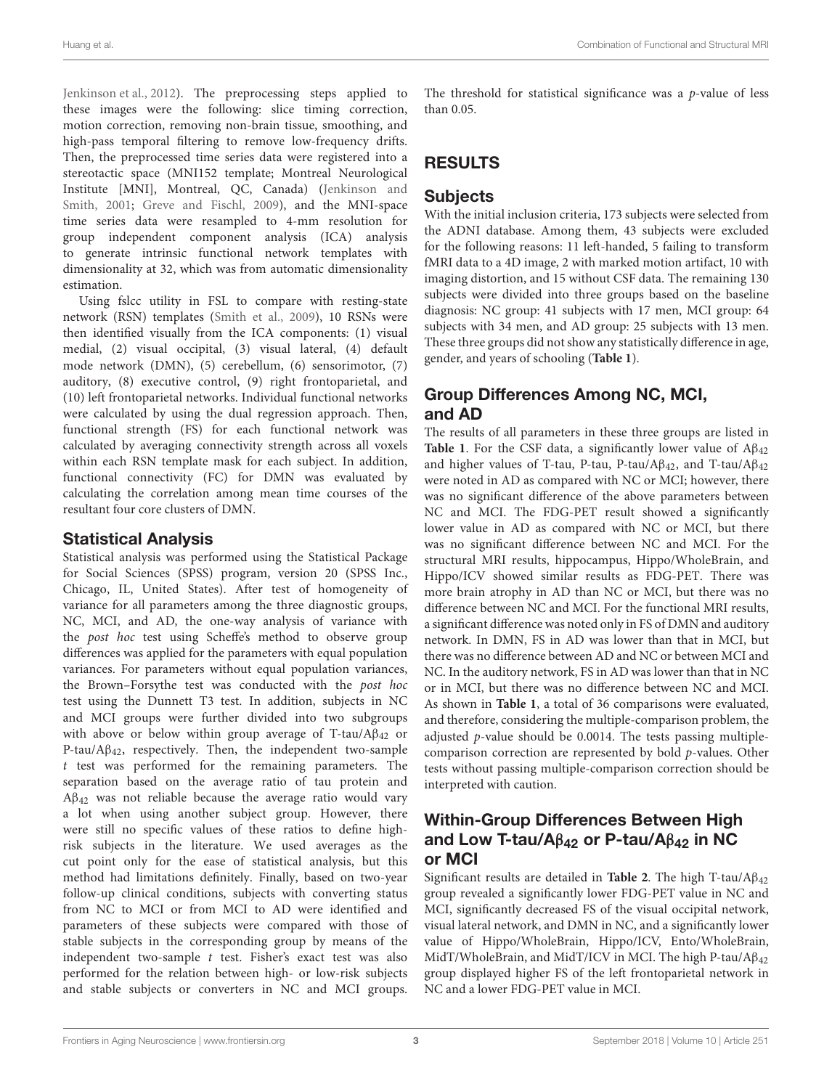[Jenkinson et al.,](#page-8-13) [2012\)](#page-8-13). The preprocessing steps applied to these images were the following: slice timing correction, motion correction, removing non-brain tissue, smoothing, and high-pass temporal filtering to remove low-frequency drifts. Then, the preprocessed time series data were registered into a stereotactic space (MNI152 template; Montreal Neurological Institute [MNI], Montreal, QC, Canada) [\(Jenkinson and](#page-8-14) [Smith,](#page-8-14) [2001;](#page-8-14) [Greve and Fischl,](#page-8-15) [2009\)](#page-8-15), and the MNI-space time series data were resampled to 4-mm resolution for group independent component analysis (ICA) analysis to generate intrinsic functional network templates with dimensionality at 32, which was from automatic dimensionality estimation.

Using fslcc utility in FSL to compare with resting-state network (RSN) templates [\(Smith et al.,](#page-8-16) [2009\)](#page-8-16), 10 RSNs were then identified visually from the ICA components: (1) visual medial, (2) visual occipital, (3) visual lateral, (4) default mode network (DMN), (5) cerebellum, (6) sensorimotor, (7) auditory, (8) executive control, (9) right frontoparietal, and (10) left frontoparietal networks. Individual functional networks were calculated by using the dual regression approach. Then, functional strength (FS) for each functional network was calculated by averaging connectivity strength across all voxels within each RSN template mask for each subject. In addition, functional connectivity (FC) for DMN was evaluated by calculating the correlation among mean time courses of the resultant four core clusters of DMN.

#### Statistical Analysis

Statistical analysis was performed using the Statistical Package for Social Sciences (SPSS) program, version 20 (SPSS Inc., Chicago, IL, United States). After test of homogeneity of variance for all parameters among the three diagnostic groups, NC, MCI, and AD, the one-way analysis of variance with the post hoc test using Scheffe's method to observe group differences was applied for the parameters with equal population variances. For parameters without equal population variances, the Brown–Forsythe test was conducted with the post hoc test using the Dunnett T3 test. In addition, subjects in NC and MCI groups were further divided into two subgroups with above or below within group average of T-tau/A $\beta_{42}$  or P-tau/ $A\beta_{42}$ , respectively. Then, the independent two-sample t test was performed for the remaining parameters. The separation based on the average ratio of tau protein and  $A\beta_{42}$  was not reliable because the average ratio would vary a lot when using another subject group. However, there were still no specific values of these ratios to define highrisk subjects in the literature. We used averages as the cut point only for the ease of statistical analysis, but this method had limitations definitely. Finally, based on two-year follow-up clinical conditions, subjects with converting status from NC to MCI or from MCI to AD were identified and parameters of these subjects were compared with those of stable subjects in the corresponding group by means of the independent two-sample t test. Fisher's exact test was also performed for the relation between high- or low-risk subjects and stable subjects or converters in NC and MCI groups.

The threshold for statistical significance was a  $p$ -value of less than 0.05.

# RESULTS

### **Subjects**

With the initial inclusion criteria, 173 subjects were selected from the ADNI database. Among them, 43 subjects were excluded for the following reasons: 11 left-handed, 5 failing to transform fMRI data to a 4D image, 2 with marked motion artifact, 10 with imaging distortion, and 15 without CSF data. The remaining 130 subjects were divided into three groups based on the baseline diagnosis: NC group: 41 subjects with 17 men, MCI group: 64 subjects with 34 men, and AD group: 25 subjects with 13 men. These three groups did not show any statistically difference in age, gender, and years of schooling (**[Table 1](#page-3-0)**).

### Group Differences Among NC, MCI, and AD

The results of all parameters in these three groups are listed in **[Table 1](#page-3-0)**. For the CSF data, a significantly lower value of  $A\beta_{42}$ and higher values of T-tau, P-tau, P-tau/A $\beta_{42}$ , and T-tau/A $\beta_{42}$ were noted in AD as compared with NC or MCI; however, there was no significant difference of the above parameters between NC and MCI. The FDG-PET result showed a significantly lower value in AD as compared with NC or MCI, but there was no significant difference between NC and MCI. For the structural MRI results, hippocampus, Hippo/WholeBrain, and Hippo/ICV showed similar results as FDG-PET. There was more brain atrophy in AD than NC or MCI, but there was no difference between NC and MCI. For the functional MRI results, a significant difference was noted only in FS of DMN and auditory network. In DMN, FS in AD was lower than that in MCI, but there was no difference between AD and NC or between MCI and NC. In the auditory network, FS in AD was lower than that in NC or in MCI, but there was no difference between NC and MCI. As shown in **[Table 1](#page-3-0)**, a total of 36 comparisons were evaluated, and therefore, considering the multiple-comparison problem, the adjusted p-value should be 0.0014. The tests passing multiplecomparison correction are represented by bold  $p$ -values. Other tests without passing multiple-comparison correction should be interpreted with caution.

#### Within-Group Differences Between High and Low T-tau/A $\beta_{42}$  or P-tau/A $\beta_{42}$  in NC or MCI

Significant results are detailed in **[Table 2](#page-4-0)**. The high T-tau/Aβ<sup>42</sup> group revealed a significantly lower FDG-PET value in NC and MCI, significantly decreased FS of the visual occipital network, visual lateral network, and DMN in NC, and a significantly lower value of Hippo/WholeBrain, Hippo/ICV, Ento/WholeBrain, MidT/WholeBrain, and MidT/ICV in MCI. The high P-tau/Aβ<sup>42</sup> group displayed higher FS of the left frontoparietal network in NC and a lower FDG-PET value in MCI.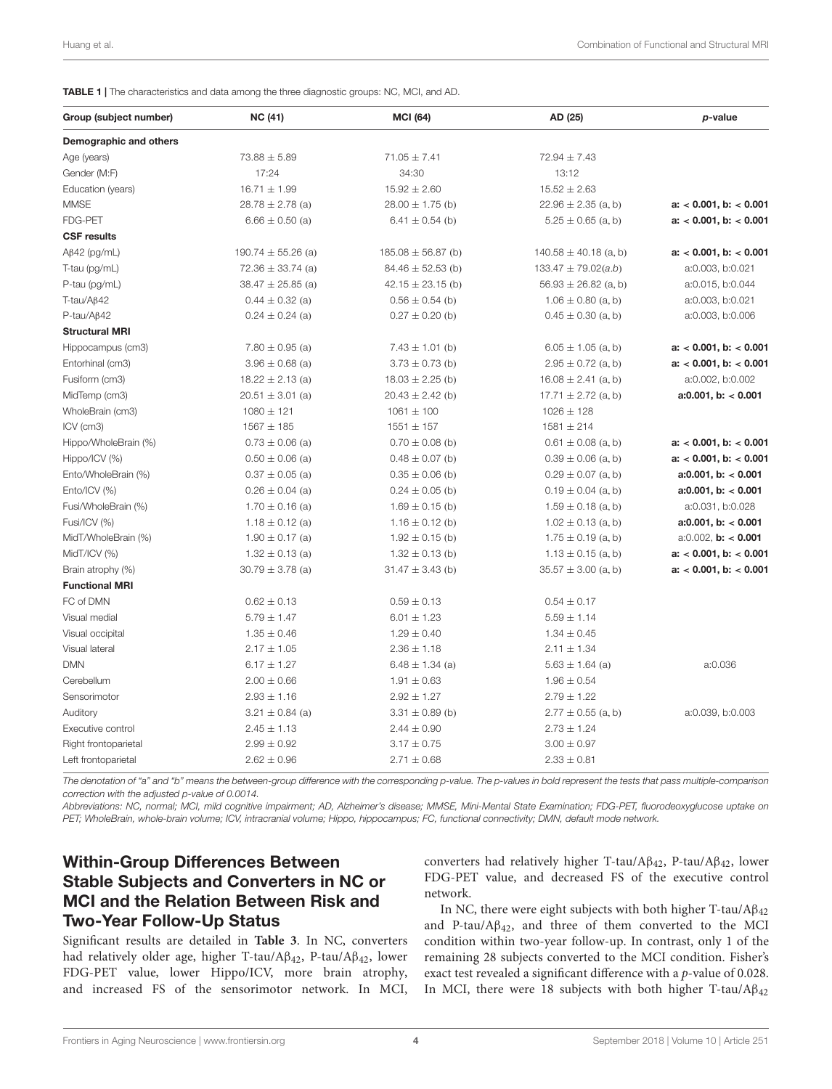<span id="page-3-0"></span>TABLE 1 | The characteristics and data among the three diagnostic groups: NC, MCI, and AD.

| Group (subject number) | <b>NC (41)</b>         | <b>MCI (64)</b>        | AD (25)                   | p-value                                   |
|------------------------|------------------------|------------------------|---------------------------|-------------------------------------------|
| Demographic and others |                        |                        |                           |                                           |
| Age (years)            | $73.88 \pm 5.89$       | $71.05 \pm 7.41$       | $72.94 \pm 7.43$          |                                           |
| Gender (M:F)           | 17:24                  | 34:30                  | 13:12                     |                                           |
| Education (years)      | $16.71 \pm 1.99$       | $15.92 \pm 2.60$       | $15.52 \pm 2.63$          |                                           |
| <b>MMSE</b>            | $28.78 \pm 2.78$ (a)   | $28.00 \pm 1.75$ (b)   | $22.96 \pm 2.35$ (a, b)   | $a: < 0.001$ , b: $< 0.001$               |
| FDG-PET                | $6.66 \pm 0.50$ (a)    | 6.41 $\pm$ 0.54 (b)    | $5.25 \pm 0.65$ (a, b)    | $a: < 0.001$ , b: $< 0.001$               |
| <b>CSF results</b>     |                        |                        |                           |                                           |
| $AB42$ (pg/mL)         | 190.74 $\pm$ 55.26 (a) | $185.08 \pm 56.87$ (b) | $140.58 \pm 40.18$ (a, b) | $a: < 0.001$ , b: $< 0.001$               |
| T-tau (pg/mL)          | $72.36 \pm 33.74$ (a)  | $84.46 \pm 52.53$ (b)  | $133.47 \pm 79.02(a.b)$   | a:0.003, b:0.021                          |
| P-tau (pg/mL)          | $38.47 \pm 25.85$ (a)  | 42.15 $\pm$ 23.15 (b)  | $56.93 \pm 26.82$ (a, b)  | a:0.015, b:0.044                          |
| $T$ -tau/A $\beta$ 42  | $0.44 \pm 0.32$ (a)    | $0.56 \pm 0.54$ (b)    | $1.06 \pm 0.80$ (a, b)    | a:0.003, b:0.021                          |
| P-tau/Aβ42             | $0.24 \pm 0.24$ (a)    | $0.27 \pm 0.20$ (b)    | $0.45 \pm 0.30$ (a, b)    | a:0.003, b:0.006                          |
| <b>Structural MRI</b>  |                        |                        |                           |                                           |
| Hippocampus (cm3)      | $7.80 \pm 0.95$ (a)    | $7.43 \pm 1.01$ (b)    | $6.05 \pm 1.05$ (a, b)    | $a: < 0.001$ , b: $< 0.001$               |
| Entorhinal (cm3)       | $3.96 \pm 0.68$ (a)    | $3.73 \pm 0.73$ (b)    | $2.95 \pm 0.72$ (a, b)    | $a: < 0.001$ , b: $< 0.001$               |
| Fusiform (cm3)         | $18.22 \pm 2.13$ (a)   | $18.03 \pm 2.25$ (b)   | $16.08 \pm 2.41$ (a, b)   | a:0.002, b:0.002                          |
| MidTemp (cm3)          | $20.51 \pm 3.01$ (a)   | $20.43 \pm 2.42$ (b)   | $17.71 \pm 2.72$ (a, b)   | a:0.001, b: $<$ 0.001                     |
| WholeBrain (cm3)       | $1080 \pm 121$         | $1061 \pm 100$         | $1026 \pm 128$            |                                           |
| ICV (cm3)              | $1567 \pm 185$         | 1551 ± 157             | $1581 \pm 214$            |                                           |
| Hippo/WholeBrain (%)   | $0.73 \pm 0.06$ (a)    | $0.70 \pm 0.08$ (b)    | $0.61 \pm 0.08$ (a, b)    | $a: < 0.001$ , b: $< 0.001$               |
| Hippo/ICV (%)          | $0.50 \pm 0.06$ (a)    | $0.48 \pm 0.07$ (b)    | $0.39 \pm 0.06$ (a, b)    | $a: < 0.001$ , b: $< 0.001$               |
| Ento/WholeBrain (%)    | $0.37 \pm 0.05$ (a)    | $0.35 \pm 0.06$ (b)    | $0.29 \pm 0.07$ (a, b)    | a:0.001, b: $<$ 0.001                     |
| Ento/ICV (%)           | $0.26 \pm 0.04$ (a)    | $0.24 \pm 0.05$ (b)    | $0.19 \pm 0.04$ (a, b)    | a:0.001, b: $<$ 0.001                     |
| Fusi/WholeBrain (%)    | $1.70 \pm 0.16$ (a)    | $1.69 \pm 0.15$ (b)    | $1.59 \pm 0.18$ (a, b)    | a:0.031, b:0.028                          |
| Fusi/ICV (%)           | $1.18 \pm 0.12$ (a)    | 1.16 $\pm$ 0.12 (b)    | $1.02 \pm 0.13$ (a, b)    | a:0.001, b: $<$ 0.001                     |
| MidT/WholeBrain (%)    | $1.90 \pm 0.17$ (a)    | $1.92 \pm 0.15$ (b)    | $1.75 \pm 0.19$ (a, b)    | a: $0.002$ , <b>b:</b> $\lt$ <b>0.001</b> |
| MidT/ICV (%)           | $1.32 \pm 0.13$ (a)    | $1.32 \pm 0.13$ (b)    | $1.13 \pm 0.15$ (a, b)    | $a: < 0.001$ , b: $< 0.001$               |
| Brain atrophy (%)      | $30.79 \pm 3.78$ (a)   | $31.47 \pm 3.43$ (b)   | $35.57 \pm 3.00$ (a, b)   | $a: < 0.001$ , b: $< 0.001$               |
| <b>Functional MRI</b>  |                        |                        |                           |                                           |
| FC of DMN              | $0.62 \pm 0.13$        | $0.59 \pm 0.13$        | $0.54 \pm 0.17$           |                                           |
| Visual medial          | $5.79 \pm 1.47$        | $6.01 \pm 1.23$        | $5.59 \pm 1.14$           |                                           |
| Visual occipital       | $1.35 \pm 0.46$        | $1.29 \pm 0.40$        | $1.34 \pm 0.45$           |                                           |
| Visual lateral         | $2.17 \pm 1.05$        | $2.36 \pm 1.18$        | $2.11 \pm 1.34$           |                                           |
| <b>DMN</b>             | $6.17 \pm 1.27$        | $6.48 \pm 1.34$ (a)    | $5.63 \pm 1.64$ (a)       | a:0.036                                   |
| Cerebellum             | $2.00 \pm 0.66$        | $1.91 \pm 0.63$        | $1.96 \pm 0.54$           |                                           |
| Sensorimotor           | $2.93 \pm 1.16$        | $2.92 \pm 1.27$        | $2.79 \pm 1.22$           |                                           |
| Auditory               | $3.21 \pm 0.84$ (a)    | $3.31 \pm 0.89$ (b)    | $2.77 \pm 0.55$ (a, b)    | a:0.039, b:0.003                          |
| Executive control      | $2.45 \pm 1.13$        | $2.44 \pm 0.90$        | $2.73 \pm 1.24$           |                                           |
| Right frontoparietal   | $2.99 \pm 0.92$        | $3.17 \pm 0.75$        | $3.00 \pm 0.97$           |                                           |
| Left frontoparietal    | $2.62 \pm 0.96$        | $2.71 \pm 0.68$        | $2.33 \pm 0.81$           |                                           |

The denotation of "a" and "b" means the between-group difference with the corresponding p-value. The p-values in bold represent the tests that pass multiple-comparison correction with the adjusted p-value of 0.0014.

Abbreviations: NC, normal; MCI, mild cognitive impairment; AD, Alzheimer's disease; MMSE, Mini-Mental State Examination; FDG-PET, fluorodeoxyglucose uptake on PET; WholeBrain, whole-brain volume; ICV, intracranial volume; Hippo, hippocampus; FC, functional connectivity; DMN, default mode network.

#### Within-Group Differences Between Stable Subjects and Converters in NC or MCI and the Relation Between Risk and Two-Year Follow-Up Status

Significant results are detailed in **[Table 3](#page-4-1)**. In NC, converters had relatively older age, higher T-tau/Aβ<sub>42</sub>, P-tau/Aβ<sub>42</sub>, lower FDG-PET value, lower Hippo/ICV, more brain atrophy, and increased FS of the sensorimotor network. In MCI,

converters had relatively higher T-tau/A $\beta_{42}$ , P-tau/A $\beta_{42}$ , lower FDG-PET value, and decreased FS of the executive control network.

In NC, there were eight subjects with both higher T-tau/A $\beta_{42}$ and P-tau/ $A\beta_{42}$ , and three of them converted to the MCI condition within two-year follow-up. In contrast, only 1 of the remaining 28 subjects converted to the MCI condition. Fisher's exact test revealed a significant difference with a  $p$ -value of 0.028. In MCI, there were 18 subjects with both higher T-tau/Aβ<sup>42</sup>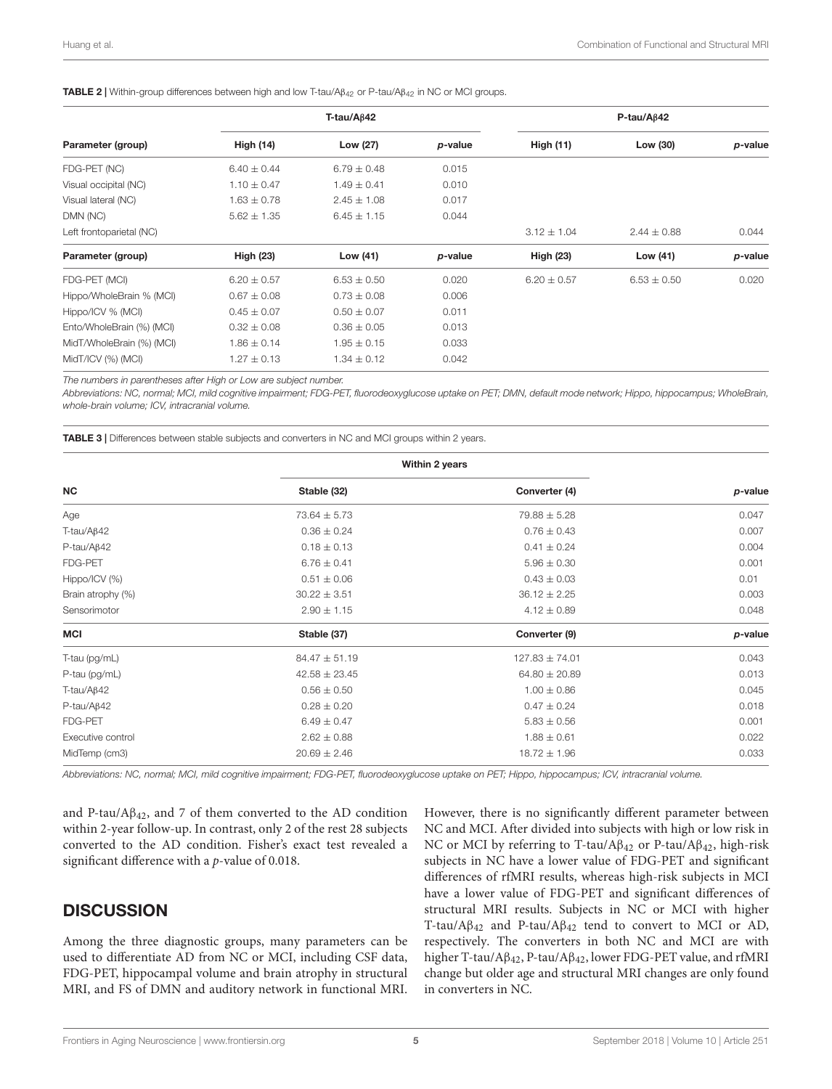#### <span id="page-4-0"></span>**TABLE 2** | Within-group differences between high and low T-tau/A $\beta_{42}$  or P-tau/A $\beta_{42}$  in NC or MCI groups.

| Parameter (group)         | $T-tau/AB42$     |                 |         | $P$ -tau/A $\beta$ 42 |                 |         |
|---------------------------|------------------|-----------------|---------|-----------------------|-----------------|---------|
|                           | <b>High (14)</b> | Low (27)        | p-value | <b>High (11)</b>      | Low (30)        | p-value |
| FDG-PET (NC)              | $6.40 \pm 0.44$  | $6.79 \pm 0.48$ | 0.015   |                       |                 |         |
| Visual occipital (NC)     | $1.10 \pm 0.47$  | $1.49 \pm 0.41$ | 0.010   |                       |                 |         |
| Visual lateral (NC)       | $1.63 \pm 0.78$  | $2.45 \pm 1.08$ | 0.017   |                       |                 |         |
| DMN (NC)                  | $5.62 \pm 1.35$  | $6.45 \pm 1.15$ | 0.044   |                       |                 |         |
| Left frontoparietal (NC)  |                  |                 |         | $3.12 \pm 1.04$       | $2.44 \pm 0.88$ | 0.044   |
| Parameter (group)         | <b>High (23)</b> | Low (41)        | p-value | <b>High (23)</b>      | Low (41)        | p-value |
| FDG-PET (MCI)             | $6.20 \pm 0.57$  | $6.53 \pm 0.50$ | 0.020   | $6.20 \pm 0.57$       | $6.53 \pm 0.50$ | 0.020   |
| Hippo/WholeBrain % (MCI)  | $0.67 \pm 0.08$  | $0.73 \pm 0.08$ | 0.006   |                       |                 |         |
| Hippo/ICV % (MCI)         | $0.45 \pm 0.07$  | $0.50 \pm 0.07$ | 0.011   |                       |                 |         |
| Ento/WholeBrain (%) (MCI) | $0.32 \pm 0.08$  | $0.36 \pm 0.05$ | 0.013   |                       |                 |         |
| MidT/WholeBrain (%) (MCI) | $1.86 \pm 0.14$  | $1.95 \pm 0.15$ | 0.033   |                       |                 |         |
| MidT/ICV (%) (MCI)        | $1.27 \pm 0.13$  | $1.34 \pm 0.12$ | 0.042   |                       |                 |         |

The numbers in parentheses after High or Low are subject number.

Abbreviations: NC, normal; MCI, mild cognitive impairment; FDG-PET, fluorodeoxyglucose uptake on PET; DMN, default mode network; Hippo, hippocampus; WholeBrain, whole-brain volume; ICV, intracranial volume.

<span id="page-4-1"></span>TABLE 3 | Differences between stable subjects and converters in NC and MCI groups within 2 years.

|                       |                   | Within 2 years     |         |  |
|-----------------------|-------------------|--------------------|---------|--|
| <b>NC</b>             | Stable (32)       | Converter (4)      | p-value |  |
| Age                   | $73.64 \pm 5.73$  | $79.88 \pm 5.28$   | 0.047   |  |
| $T$ -tau/A $\beta$ 42 | $0.36 \pm 0.24$   | $0.76 \pm 0.43$    | 0.007   |  |
| $P$ -tau/A $\beta$ 42 | $0.18 \pm 0.13$   | $0.41 \pm 0.24$    | 0.004   |  |
| FDG-PET               | $6.76 \pm 0.41$   | $5.96 \pm 0.30$    | 0.001   |  |
| Hippo/ICV (%)         | $0.51 \pm 0.06$   | $0.43 \pm 0.03$    | 0.01    |  |
| Brain atrophy (%)     | $30.22 \pm 3.51$  | $36.12 \pm 2.25$   | 0.003   |  |
| Sensorimotor          | $2.90 \pm 1.15$   | $4.12 \pm 0.89$    | 0.048   |  |
| <b>MCI</b>            | Stable (37)       | Converter (9)      | p-value |  |
| T-tau (pg/mL)         | $84.47 \pm 51.19$ | $127.83 \pm 74.01$ | 0.043   |  |
| P-tau (pg/mL)         | $42.58 \pm 23.45$ | $64.80 \pm 20.89$  | 0.013   |  |
| $T$ -tau/A $\beta$ 42 | $0.56 \pm 0.50$   | $1.00 \pm 0.86$    | 0.045   |  |
| $P$ -tau/A $\beta$ 42 | $0.28 \pm 0.20$   | $0.47 \pm 0.24$    | 0.018   |  |
| FDG-PET               | $6.49 \pm 0.47$   | $5.83 \pm 0.56$    | 0.001   |  |
| Executive control     | $2.62 \pm 0.88$   | $1.88 \pm 0.61$    | 0.022   |  |
| MidTemp (cm3)         | $20.69 \pm 2.46$  | $18.72 \pm 1.96$   | 0.033   |  |

Abbreviations: NC, normal; MCI, mild cognitive impairment; FDG-PET, fluorodeoxyglucose uptake on PET; Hippo, hippocampus; ICV, intracranial volume.

and P-tau/ $\text{A}\beta_{42}$ , and 7 of them converted to the AD condition within 2-year follow-up. In contrast, only 2 of the rest 28 subjects converted to the AD condition. Fisher's exact test revealed a significant difference with a p-value of 0.018.

#### **DISCUSSION**

Among the three diagnostic groups, many parameters can be used to differentiate AD from NC or MCI, including CSF data, FDG-PET, hippocampal volume and brain atrophy in structural MRI, and FS of DMN and auditory network in functional MRI.

However, there is no significantly different parameter between NC and MCI. After divided into subjects with high or low risk in NC or MCI by referring to T-tau/Aβ<sup>42</sup> or P-tau/Aβ42, high-risk subjects in NC have a lower value of FDG-PET and significant differences of rfMRI results, whereas high-risk subjects in MCI have a lower value of FDG-PET and significant differences of structural MRI results. Subjects in NC or MCI with higher T-tau/A $\beta_{42}$  and P-tau/A $\beta_{42}$  tend to convert to MCI or AD, respectively. The converters in both NC and MCI are with higher T-tau/Aβ42, P-tau/Aβ42, lower FDG-PET value, and rfMRI change but older age and structural MRI changes are only found in converters in NC.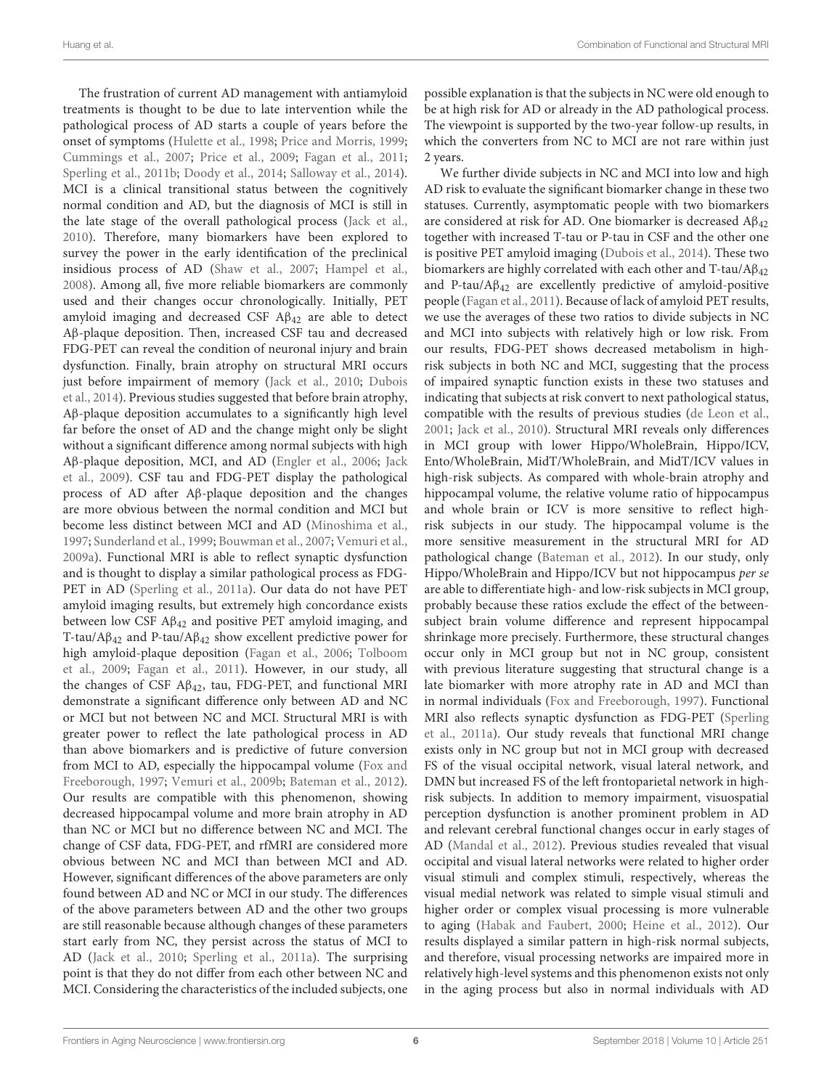The frustration of current AD management with antiamyloid treatments is thought to be due to late intervention while the pathological process of AD starts a couple of years before the onset of symptoms [\(Hulette et al.,](#page-8-3) [1998;](#page-8-3) [Price and Morris,](#page-8-4) [1999;](#page-8-4) [Cummings et al.,](#page-7-2) [2007;](#page-7-2) [Price et al.,](#page-8-5) [2009;](#page-8-5) [Fagan et al.,](#page-8-6) [2011;](#page-8-6) [Sperling et al.,](#page-8-0) [2011b;](#page-8-0) [Doody et al.,](#page-7-1) [2014;](#page-7-1) [Salloway et al.,](#page-8-2) [2014\)](#page-8-2). MCI is a clinical transitional status between the cognitively normal condition and AD, but the diagnosis of MCI is still in the late stage of the overall pathological process [\(Jack et al.,](#page-8-9) [2010\)](#page-8-9). Therefore, many biomarkers have been explored to survey the power in the early identification of the preclinical insidious process of AD [\(Shaw et al.,](#page-8-7) [2007;](#page-8-7) [Hampel et al.,](#page-8-8) [2008\)](#page-8-8). Among all, five more reliable biomarkers are commonly used and their changes occur chronologically. Initially, PET amyloid imaging and decreased CSF Aβ<sup>42</sup> are able to detect Aβ-plaque deposition. Then, increased CSF tau and decreased FDG-PET can reveal the condition of neuronal injury and brain dysfunction. Finally, brain atrophy on structural MRI occurs just before impairment of memory [\(Jack et al.,](#page-8-9) [2010;](#page-8-9) [Dubois](#page-8-1) [et al.,](#page-8-1) [2014\)](#page-8-1). Previous studies suggested that before brain atrophy, Aβ-plaque deposition accumulates to a significantly high level far before the onset of AD and the change might only be slight without a significant difference among normal subjects with high Aβ-plaque deposition, MCI, and AD [\(Engler et al.,](#page-8-17) [2006;](#page-8-17) [Jack](#page-8-18) [et al.,](#page-8-18) [2009\)](#page-8-18). CSF tau and FDG-PET display the pathological process of AD after Aβ-plaque deposition and the changes are more obvious between the normal condition and MCI but become less distinct between MCI and AD [\(Minoshima et al.,](#page-8-19) [1997;](#page-8-19) [Sunderland et al.,](#page-8-20) [1999;](#page-8-20) [Bouwman et al.,](#page-7-4) [2007;](#page-7-4) [Vemuri et al.,](#page-8-21) [2009a\)](#page-8-21). Functional MRI is able to reflect synaptic dysfunction and is thought to display a similar pathological process as FDG-PET in AD [\(Sperling et al.,](#page-8-22) [2011a\)](#page-8-22). Our data do not have PET amyloid imaging results, but extremely high concordance exists between low CSF  $A\beta_{42}$  and positive PET amyloid imaging, and T-tau/ $A\beta_{42}$  and P-tau/ $A\beta_{42}$  show excellent predictive power for high amyloid-plaque deposition [\(Fagan et al.,](#page-8-23) [2006;](#page-8-23) [Tolboom](#page-8-24) [et al.,](#page-8-24) [2009;](#page-8-24) [Fagan et al.,](#page-8-6) [2011\)](#page-8-6). However, in our study, all the changes of CSF  $A\beta_{42}$ , tau, FDG-PET, and functional MRI demonstrate a significant difference only between AD and NC or MCI but not between NC and MCI. Structural MRI is with greater power to reflect the late pathological process in AD than above biomarkers and is predictive of future conversion from MCI to AD, especially the hippocampal volume [\(Fox and](#page-8-25) [Freeborough,](#page-8-25) [1997;](#page-8-25) [Vemuri et al.,](#page-8-26) [2009b;](#page-8-26) [Bateman et al.,](#page-7-0) [2012\)](#page-7-0). Our results are compatible with this phenomenon, showing decreased hippocampal volume and more brain atrophy in AD than NC or MCI but no difference between NC and MCI. The change of CSF data, FDG-PET, and rfMRI are considered more obvious between NC and MCI than between MCI and AD. However, significant differences of the above parameters are only found between AD and NC or MCI in our study. The differences of the above parameters between AD and the other two groups are still reasonable because although changes of these parameters start early from NC, they persist across the status of MCI to AD [\(Jack et al.,](#page-8-9) [2010;](#page-8-9) [Sperling et al.,](#page-8-22) [2011a\)](#page-8-22). The surprising point is that they do not differ from each other between NC and MCI. Considering the characteristics of the included subjects, one

possible explanation is that the subjects in NC were old enough to be at high risk for AD or already in the AD pathological process. The viewpoint is supported by the two-year follow-up results, in which the converters from NC to MCI are not rare within just 2 years.

We further divide subjects in NC and MCI into low and high AD risk to evaluate the significant biomarker change in these two statuses. Currently, asymptomatic people with two biomarkers are considered at risk for AD. One biomarker is decreased  $A\beta_{42}$ together with increased T-tau or P-tau in CSF and the other one is positive PET amyloid imaging [\(Dubois et al.,](#page-8-1) [2014\)](#page-8-1). These two biomarkers are highly correlated with each other and T-tau/A $\beta_{42}$ and P-tau/ $A\beta_{42}$  are excellently predictive of amyloid-positive people [\(Fagan et al.,](#page-8-6) [2011\)](#page-8-6). Because of lack of amyloid PET results, we use the averages of these two ratios to divide subjects in NC and MCI into subjects with relatively high or low risk. From our results, FDG-PET shows decreased metabolism in highrisk subjects in both NC and MCI, suggesting that the process of impaired synaptic function exists in these two statuses and indicating that subjects at risk convert to next pathological status, compatible with the results of previous studies [\(de Leon et al.,](#page-7-5) [2001;](#page-7-5) [Jack et al.,](#page-8-9) [2010\)](#page-8-9). Structural MRI reveals only differences in MCI group with lower Hippo/WholeBrain, Hippo/ICV, Ento/WholeBrain, MidT/WholeBrain, and MidT/ICV values in high-risk subjects. As compared with whole-brain atrophy and hippocampal volume, the relative volume ratio of hippocampus and whole brain or ICV is more sensitive to reflect highrisk subjects in our study. The hippocampal volume is the more sensitive measurement in the structural MRI for AD pathological change [\(Bateman et al.,](#page-7-0) [2012\)](#page-7-0). In our study, only Hippo/WholeBrain and Hippo/ICV but not hippocampus per se are able to differentiate high- and low-risk subjects in MCI group, probably because these ratios exclude the effect of the betweensubject brain volume difference and represent hippocampal shrinkage more precisely. Furthermore, these structural changes occur only in MCI group but not in NC group, consistent with previous literature suggesting that structural change is a late biomarker with more atrophy rate in AD and MCI than in normal individuals [\(Fox and Freeborough,](#page-8-25) [1997\)](#page-8-25). Functional MRI also reflects synaptic dysfunction as FDG-PET [\(Sperling](#page-8-22) [et al.,](#page-8-22) [2011a\)](#page-8-22). Our study reveals that functional MRI change exists only in NC group but not in MCI group with decreased FS of the visual occipital network, visual lateral network, and DMN but increased FS of the left frontoparietal network in highrisk subjects. In addition to memory impairment, visuospatial perception dysfunction is another prominent problem in AD and relevant cerebral functional changes occur in early stages of AD [\(Mandal et al.,](#page-8-27) [2012\)](#page-8-27). Previous studies revealed that visual occipital and visual lateral networks were related to higher order visual stimuli and complex stimuli, respectively, whereas the visual medial network was related to simple visual stimuli and higher order or complex visual processing is more vulnerable to aging [\(Habak and Faubert,](#page-8-28) [2000;](#page-8-28) [Heine et al.,](#page-8-29) [2012\)](#page-8-29). Our results displayed a similar pattern in high-risk normal subjects, and therefore, visual processing networks are impaired more in relatively high-level systems and this phenomenon exists not only in the aging process but also in normal individuals with AD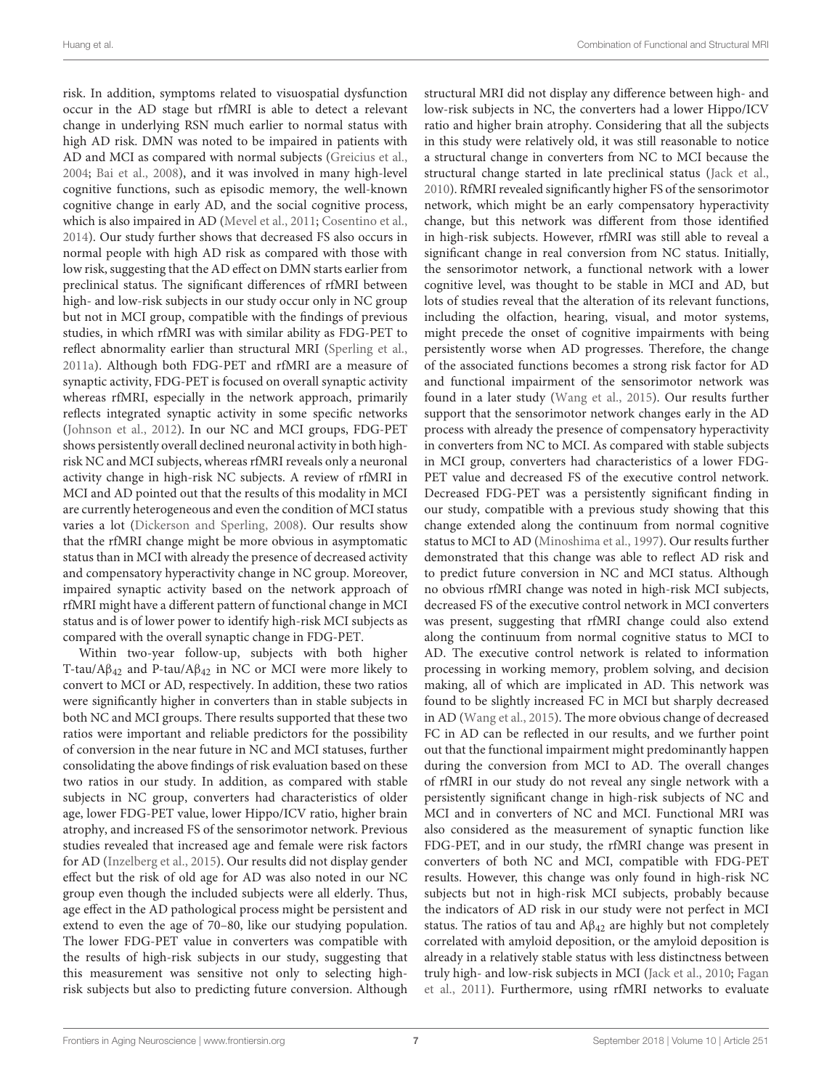risk. In addition, symptoms related to visuospatial dysfunction occur in the AD stage but rfMRI is able to detect a relevant change in underlying RSN much earlier to normal status with high AD risk. DMN was noted to be impaired in patients with AD and MCI as compared with normal subjects [\(Greicius et al.,](#page-8-30) [2004;](#page-8-30) [Bai et al.,](#page-7-6) [2008\)](#page-7-6), and it was involved in many high-level cognitive functions, such as episodic memory, the well-known cognitive change in early AD, and the social cognitive process, which is also impaired in AD [\(Mevel et al.,](#page-8-31) [2011;](#page-8-31) [Cosentino et al.,](#page-7-7) [2014\)](#page-7-7). Our study further shows that decreased FS also occurs in normal people with high AD risk as compared with those with low risk, suggesting that the AD effect on DMN starts earlier from preclinical status. The significant differences of rfMRI between high- and low-risk subjects in our study occur only in NC group but not in MCI group, compatible with the findings of previous studies, in which rfMRI was with similar ability as FDG-PET to reflect abnormality earlier than structural MRI [\(Sperling et al.,](#page-8-22) [2011a\)](#page-8-22). Although both FDG-PET and rfMRI are a measure of synaptic activity, FDG-PET is focused on overall synaptic activity whereas rfMRI, especially in the network approach, primarily reflects integrated synaptic activity in some specific networks [\(Johnson et al.,](#page-8-32) [2012\)](#page-8-32). In our NC and MCI groups, FDG-PET shows persistently overall declined neuronal activity in both highrisk NC and MCI subjects, whereas rfMRI reveals only a neuronal activity change in high-risk NC subjects. A review of rfMRI in MCI and AD pointed out that the results of this modality in MCI are currently heterogeneous and even the condition of MCI status varies a lot [\(Dickerson and Sperling,](#page-7-8) [2008\)](#page-7-8). Our results show that the rfMRI change might be more obvious in asymptomatic status than in MCI with already the presence of decreased activity and compensatory hyperactivity change in NC group. Moreover, impaired synaptic activity based on the network approach of rfMRI might have a different pattern of functional change in MCI status and is of lower power to identify high-risk MCI subjects as compared with the overall synaptic change in FDG-PET.

Within two-year follow-up, subjects with both higher T-tau/A $\beta_{42}$  and P-tau/A $\beta_{42}$  in NC or MCI were more likely to convert to MCI or AD, respectively. In addition, these two ratios were significantly higher in converters than in stable subjects in both NC and MCI groups. There results supported that these two ratios were important and reliable predictors for the possibility of conversion in the near future in NC and MCI statuses, further consolidating the above findings of risk evaluation based on these two ratios in our study. In addition, as compared with stable subjects in NC group, converters had characteristics of older age, lower FDG-PET value, lower Hippo/ICV ratio, higher brain atrophy, and increased FS of the sensorimotor network. Previous studies revealed that increased age and female were risk factors for AD [\(Inzelberg et al.,](#page-8-33) [2015\)](#page-8-33). Our results did not display gender effect but the risk of old age for AD was also noted in our NC group even though the included subjects were all elderly. Thus, age effect in the AD pathological process might be persistent and extend to even the age of 70–80, like our studying population. The lower FDG-PET value in converters was compatible with the results of high-risk subjects in our study, suggesting that this measurement was sensitive not only to selecting highrisk subjects but also to predicting future conversion. Although

structural MRI did not display any difference between high- and low-risk subjects in NC, the converters had a lower Hippo/ICV ratio and higher brain atrophy. Considering that all the subjects in this study were relatively old, it was still reasonable to notice a structural change in converters from NC to MCI because the structural change started in late preclinical status [\(Jack et al.,](#page-8-9) [2010\)](#page-8-9). RfMRI revealed significantly higher FS of the sensorimotor network, which might be an early compensatory hyperactivity change, but this network was different from those identified in high-risk subjects. However, rfMRI was still able to reveal a significant change in real conversion from NC status. Initially, the sensorimotor network, a functional network with a lower cognitive level, was thought to be stable in MCI and AD, but lots of studies reveal that the alteration of its relevant functions, including the olfaction, hearing, visual, and motor systems, might precede the onset of cognitive impairments with being persistently worse when AD progresses. Therefore, the change of the associated functions becomes a strong risk factor for AD and functional impairment of the sensorimotor network was found in a later study [\(Wang et al.,](#page-8-34) [2015\)](#page-8-34). Our results further support that the sensorimotor network changes early in the AD process with already the presence of compensatory hyperactivity in converters from NC to MCI. As compared with stable subjects in MCI group, converters had characteristics of a lower FDG-PET value and decreased FS of the executive control network. Decreased FDG-PET was a persistently significant finding in our study, compatible with a previous study showing that this change extended along the continuum from normal cognitive status to MCI to AD [\(Minoshima et al.,](#page-8-19) [1997\)](#page-8-19). Our results further demonstrated that this change was able to reflect AD risk and to predict future conversion in NC and MCI status. Although no obvious rfMRI change was noted in high-risk MCI subjects, decreased FS of the executive control network in MCI converters was present, suggesting that rfMRI change could also extend along the continuum from normal cognitive status to MCI to AD. The executive control network is related to information processing in working memory, problem solving, and decision making, all of which are implicated in AD. This network was found to be slightly increased FC in MCI but sharply decreased in AD [\(Wang et al.,](#page-8-34) [2015\)](#page-8-34). The more obvious change of decreased FC in AD can be reflected in our results, and we further point out that the functional impairment might predominantly happen during the conversion from MCI to AD. The overall changes of rfMRI in our study do not reveal any single network with a persistently significant change in high-risk subjects of NC and MCI and in converters of NC and MCI. Functional MRI was also considered as the measurement of synaptic function like FDG-PET, and in our study, the rfMRI change was present in converters of both NC and MCI, compatible with FDG-PET results. However, this change was only found in high-risk NC subjects but not in high-risk MCI subjects, probably because the indicators of AD risk in our study were not perfect in MCI status. The ratios of tau and  $A\beta_{42}$  are highly but not completely correlated with amyloid deposition, or the amyloid deposition is already in a relatively stable status with less distinctness between truly high- and low-risk subjects in MCI [\(Jack et al.,](#page-8-9) [2010;](#page-8-9) [Fagan](#page-8-6) [et al.,](#page-8-6) [2011\)](#page-8-6). Furthermore, using rfMRI networks to evaluate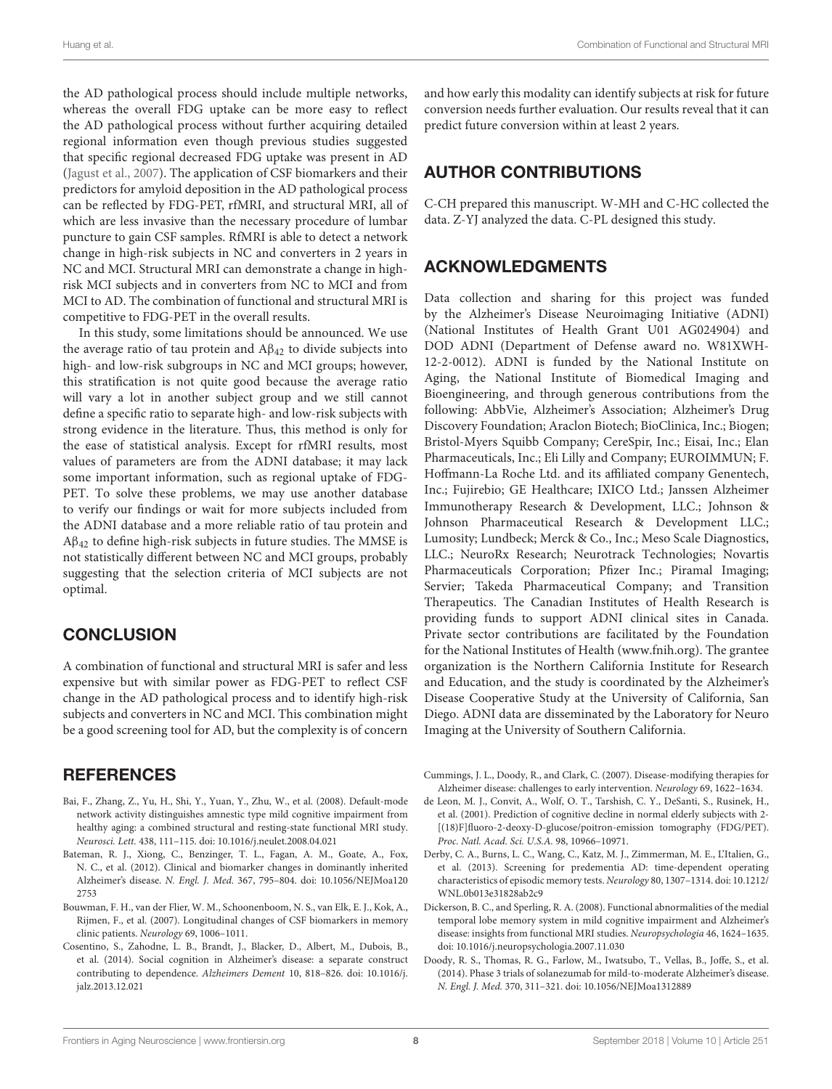the AD pathological process should include multiple networks, whereas the overall FDG uptake can be more easy to reflect the AD pathological process without further acquiring detailed regional information even though previous studies suggested that specific regional decreased FDG uptake was present in AD [\(Jagust et al.,](#page-8-35) [2007\)](#page-8-35). The application of CSF biomarkers and their predictors for amyloid deposition in the AD pathological process can be reflected by FDG-PET, rfMRI, and structural MRI, all of which are less invasive than the necessary procedure of lumbar puncture to gain CSF samples. RfMRI is able to detect a network change in high-risk subjects in NC and converters in 2 years in NC and MCI. Structural MRI can demonstrate a change in highrisk MCI subjects and in converters from NC to MCI and from MCI to AD. The combination of functional and structural MRI is competitive to FDG-PET in the overall results.

In this study, some limitations should be announced. We use the average ratio of tau protein and  $A\beta_{42}$  to divide subjects into high- and low-risk subgroups in NC and MCI groups; however, this stratification is not quite good because the average ratio will vary a lot in another subject group and we still cannot define a specific ratio to separate high- and low-risk subjects with strong evidence in the literature. Thus, this method is only for the ease of statistical analysis. Except for rfMRI results, most values of parameters are from the ADNI database; it may lack some important information, such as regional uptake of FDG-PET. To solve these problems, we may use another database to verify our findings or wait for more subjects included from the ADNI database and a more reliable ratio of tau protein and  $A\beta_{42}$  to define high-risk subjects in future studies. The MMSE is not statistically different between NC and MCI groups, probably suggesting that the selection criteria of MCI subjects are not optimal.

### **CONCLUSION**

A combination of functional and structural MRI is safer and less expensive but with similar power as FDG-PET to reflect CSF change in the AD pathological process and to identify high-risk subjects and converters in NC and MCI. This combination might be a good screening tool for AD, but the complexity is of concern

#### **REFERENCES**

- <span id="page-7-6"></span>Bai, F., Zhang, Z., Yu, H., Shi, Y., Yuan, Y., Zhu, W., et al. (2008). Default-mode network activity distinguishes amnestic type mild cognitive impairment from healthy aging: a combined structural and resting-state functional MRI study. Neurosci. Lett. 438, 111–115. [doi: 10.1016/j.neulet.2008.04.021](https://doi.org/10.1016/j.neulet.2008.04.021)
- <span id="page-7-0"></span>Bateman, R. J., Xiong, C., Benzinger, T. L., Fagan, A. M., Goate, A., Fox, N. C., et al. (2012). Clinical and biomarker changes in dominantly inherited Alzheimer's disease. N. Engl. J. Med. 367, 795–804. [doi: 10.1056/NEJMoa120](https://doi.org/10.1056/NEJMoa1202753) [2753](https://doi.org/10.1056/NEJMoa1202753)
- <span id="page-7-4"></span>Bouwman, F. H., van der Flier, W. M., Schoonenboom, N. S., van Elk, E. J., Kok, A., Rijmen, F., et al. (2007). Longitudinal changes of CSF biomarkers in memory clinic patients. Neurology 69, 1006–1011.
- <span id="page-7-7"></span>Cosentino, S., Zahodne, L. B., Brandt, J., Blacker, D., Albert, M., Dubois, B., et al. (2014). Social cognition in Alzheimer's disease: a separate construct contributing to dependence. Alzheimers Dement 10, 818–826. [doi: 10.1016/j.](https://doi.org/10.1016/j.jalz.2013.12.021) [jalz.2013.12.021](https://doi.org/10.1016/j.jalz.2013.12.021)

and how early this modality can identify subjects at risk for future conversion needs further evaluation. Our results reveal that it can predict future conversion within at least 2 years.

#### AUTHOR CONTRIBUTIONS

C-CH prepared this manuscript. W-MH and C-HC collected the data. Z-YJ analyzed the data. C-PL designed this study.

#### ACKNOWLEDGMENTS

Data collection and sharing for this project was funded by the Alzheimer's Disease Neuroimaging Initiative (ADNI) (National Institutes of Health Grant U01 AG024904) and DOD ADNI (Department of Defense award no. W81XWH-12-2-0012). ADNI is funded by the National Institute on Aging, the National Institute of Biomedical Imaging and Bioengineering, and through generous contributions from the following: AbbVie, Alzheimer's Association; Alzheimer's Drug Discovery Foundation; Araclon Biotech; BioClinica, Inc.; Biogen; Bristol-Myers Squibb Company; CereSpir, Inc.; Eisai, Inc.; Elan Pharmaceuticals, Inc.; Eli Lilly and Company; EUROIMMUN; F. Hoffmann-La Roche Ltd. and its affiliated company Genentech, Inc.; Fujirebio; GE Healthcare; IXICO Ltd.; Janssen Alzheimer Immunotherapy Research & Development, LLC.; Johnson & Johnson Pharmaceutical Research & Development LLC.; Lumosity; Lundbeck; Merck & Co., Inc.; Meso Scale Diagnostics, LLC.; NeuroRx Research; Neurotrack Technologies; Novartis Pharmaceuticals Corporation; Pfizer Inc.; Piramal Imaging; Servier; Takeda Pharmaceutical Company; and Transition Therapeutics. The Canadian Institutes of Health Research is providing funds to support ADNI clinical sites in Canada. Private sector contributions are facilitated by the Foundation for the National Institutes of Health [\(www.fnih.org\)](https://fnih.org/). The grantee organization is the Northern California Institute for Research and Education, and the study is coordinated by the Alzheimer's Disease Cooperative Study at the University of California, San Diego. ADNI data are disseminated by the Laboratory for Neuro Imaging at the University of Southern California.

<span id="page-7-2"></span>Cummings, J. L., Doody, R., and Clark, C. (2007). Disease-modifying therapies for Alzheimer disease: challenges to early intervention. Neurology 69, 1622–1634.

- <span id="page-7-5"></span>de Leon, M. J., Convit, A., Wolf, O. T., Tarshish, C. Y., DeSanti, S., Rusinek, H., et al. (2001). Prediction of cognitive decline in normal elderly subjects with 2- [(18)F]fluoro-2-deoxy-D-glucose/poitron-emission tomography (FDG/PET). Proc. Natl. Acad. Sci. U.S.A. 98, 10966–10971.
- <span id="page-7-3"></span>Derby, C. A., Burns, L. C., Wang, C., Katz, M. J., Zimmerman, M. E., L'Italien, G., et al. (2013). Screening for predementia AD: time-dependent operating characteristics of episodic memory tests. Neurology 80, 1307–1314. [doi: 10.1212/](https://doi.org/10.1212/WNL.0b013e31828ab2c9) [WNL.0b013e31828ab2c9](https://doi.org/10.1212/WNL.0b013e31828ab2c9)
- <span id="page-7-8"></span>Dickerson, B. C., and Sperling, R. A. (2008). Functional abnormalities of the medial temporal lobe memory system in mild cognitive impairment and Alzheimer's disease: insights from functional MRI studies. Neuropsychologia 46, 1624–1635. [doi: 10.1016/j.neuropsychologia.2007.11.030](https://doi.org/10.1016/j.neuropsychologia.2007.11.030)
- <span id="page-7-1"></span>Doody, R. S., Thomas, R. G., Farlow, M., Iwatsubo, T., Vellas, B., Joffe, S., et al. (2014). Phase 3 trials of solanezumab for mild-to-moderate Alzheimer's disease. N. Engl. J. Med. 370, 311–321. [doi: 10.1056/NEJMoa1312889](https://doi.org/10.1056/NEJMoa1312889)